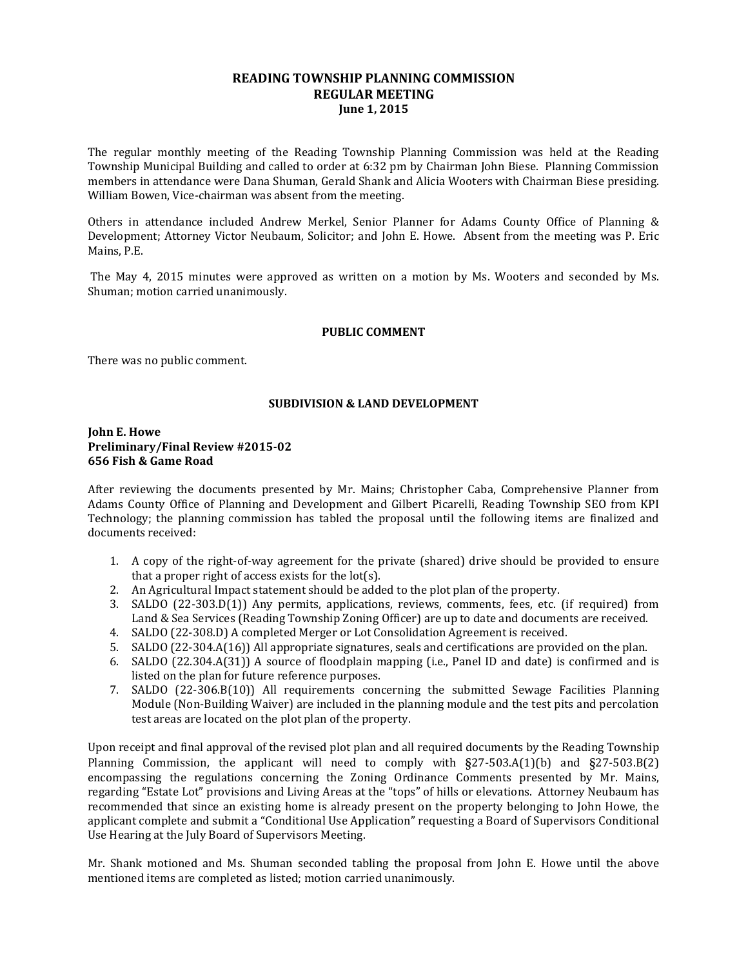# **READING TOWNSHIP PLANNING COMMISSION REGULAR MEETING June 1, 2015**

The regular monthly meeting of the Reading Township Planning Commission was held at the Reading Township Municipal Building and called to order at 6:32 pm by Chairman John Biese. Planning Commission members in attendance were Dana Shuman, Gerald Shank and Alicia Wooters with Chairman Biese presiding. William Bowen, Vice-chairman was absent from the meeting.

Others in attendance included Andrew Merkel, Senior Planner for Adams County Office of Planning & Development; Attorney Victor Neubaum, Solicitor; and John E. Howe. Absent from the meeting was P. Eric Mains, P.E.

The May 4, 2015 minutes were approved as written on a motion by Ms. Wooters and seconded by Ms. Shuman; motion carried unanimously.

### **PUBLIC COMMENT**

There was no public comment.

# **SUBDIVISION & LAND DEVELOPMENT**

## **John E. Howe Preliminary/Final Review #2015-02 656 Fish & Game Road**

After reviewing the documents presented by Mr. Mains; Christopher Caba, Comprehensive Planner from Adams County Office of Planning and Development and Gilbert Picarelli, Reading Township SEO from KPI Technology; the planning commission has tabled the proposal until the following items are finalized and documents received:

- 1. A copy of the right-of-way agreement for the private (shared) drive should be provided to ensure that a proper right of access exists for the lot(s).
- 2. An Agricultural Impact statement should be added to the plot plan of the property.
- 3. SALDO (22-303.D(1)) Any permits, applications, reviews, comments, fees, etc. (if required) from Land & Sea Services (Reading Township Zoning Officer) are up to date and documents are received.
- 4. SALDO (22-308.D) A completed Merger or Lot Consolidation Agreement is received.
- 5. SALDO (22-304.A(16)) All appropriate signatures, seals and certifications are provided on the plan.
- 6. SALDO (22.304.A(31)) A source of floodplain mapping (i.e., Panel ID and date) is confirmed and is listed on the plan for future reference purposes.
- 7. SALDO (22-306.B(10)) All requirements concerning the submitted Sewage Facilities Planning Module (Non-Building Waiver) are included in the planning module and the test pits and percolation test areas are located on the plot plan of the property.

Upon receipt and final approval of the revised plot plan and all required documents by the Reading Township Planning Commission, the applicant will need to comply with §27-503.A(1)(b) and §27-503.B(2) encompassing the regulations concerning the Zoning Ordinance Comments presented by Mr. Mains, regarding "Estate Lot" provisions and Living Areas at the "tops" of hills or elevations. Attorney Neubaum has recommended that since an existing home is already present on the property belonging to John Howe, the applicant complete and submit a "Conditional Use Application" requesting a Board of Supervisors Conditional Use Hearing at the July Board of Supervisors Meeting.

Mr. Shank motioned and Ms. Shuman seconded tabling the proposal from John E. Howe until the above mentioned items are completed as listed; motion carried unanimously.